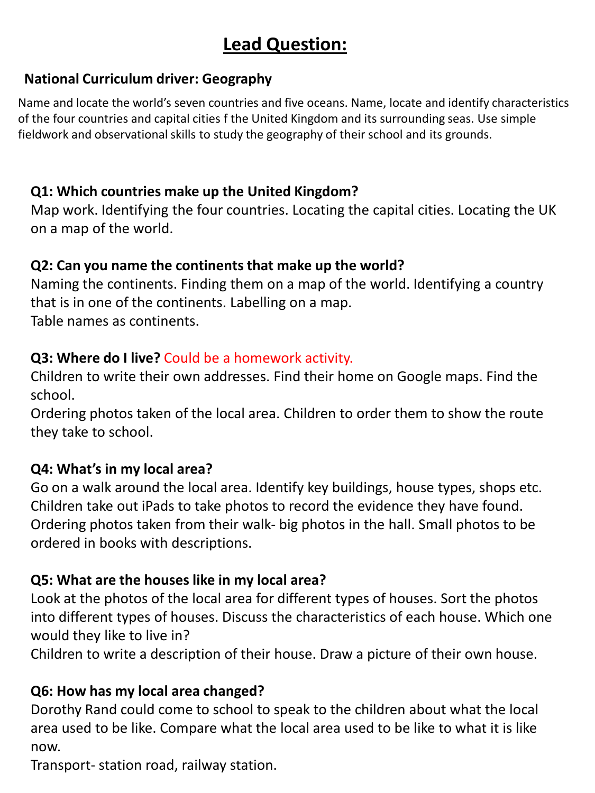## **Lead Question:**

### **National Curriculum driver: Geography**

Name and locate the world's seven countries and five oceans. Name, locate and identify characteristics of the four countries and capital cities f the United Kingdom and its surrounding seas. Use simple fieldwork and observational skills to study the geography of their school and its grounds.

## **Q1: Which countries make up the United Kingdom?**

Map work. Identifying the four countries. Locating the capital cities. Locating the UK on a map of the world.

### **Q2: Can you name the continents that make up the world?**

Naming the continents. Finding them on a map of the world. Identifying a country that is in one of the continents. Labelling on a map. Table names as continents.

### **Q3: Where do I live?** Could be a homework activity.

Children to write their own addresses. Find their home on Google maps. Find the school.

Ordering photos taken of the local area. Children to order them to show the route they take to school.

## **Q4: What's in my local area?**

Go on a walk around the local area. Identify key buildings, house types, shops etc. Children take out iPads to take photos to record the evidence they have found. Ordering photos taken from their walk- big photos in the hall. Small photos to be ordered in books with descriptions.

## **Q5: What are the houses like in my local area?**

Look at the photos of the local area for different types of houses. Sort the photos into different types of houses. Discuss the characteristics of each house. Which one would they like to live in?

Children to write a description of their house. Draw a picture of their own house.

## **Q6: How has my local area changed?**

Dorothy Rand could come to school to speak to the children about what the local area used to be like. Compare what the local area used to be like to what it is like now.

Transport- station road, railway station.